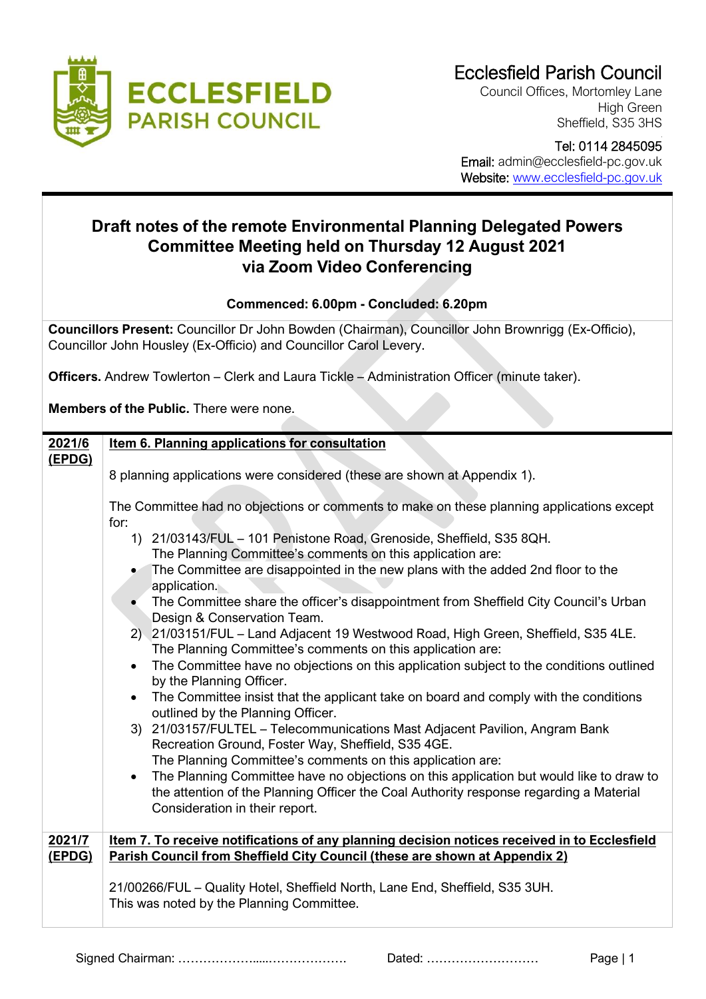

Council Offices, Mortomley Lane High Green Sheffield, S35 3HS

 Tel: 0114 2845095 Email: admin@ecclesfield-pc.gov.uk Website: [www.ecclesfield-pc.gov.uk](http://www.ecclesfield-pc.gov.uk/)

## **Draft notes of the remote Environmental Planning Delegated Powers Committee Meeting held on Thursday 12 August 2021 via Zoom Video Conferencing**

## **Commenced: 6.00pm - Concluded: 6.20pm**

**Councillors Present:** Councillor Dr John Bowden (Chairman), Councillor John Brownrigg (Ex-Officio), Councillor John Housley (Ex-Officio) and Councillor Carol Levery.

**Officers.** Andrew Towlerton – Clerk and Laura Tickle – Administration Officer (minute taker).

**Members of the Public.** There were none.

| 2021/6 | Item 6. Planning applications for consultation                                                                                   |  |  |
|--------|----------------------------------------------------------------------------------------------------------------------------------|--|--|
| (EPDG) |                                                                                                                                  |  |  |
|        | 8 planning applications were considered (these are shown at Appendix 1).                                                         |  |  |
|        |                                                                                                                                  |  |  |
|        | The Committee had no objections or comments to make on these planning applications except                                        |  |  |
|        | for:                                                                                                                             |  |  |
|        | 1) 21/03143/FUL - 101 Penistone Road, Grenoside, Sheffield, S35 8QH.                                                             |  |  |
|        | The Planning Committee's comments on this application are:                                                                       |  |  |
|        | The Committee are disappointed in the new plans with the added 2nd floor to the<br>application.                                  |  |  |
|        | The Committee share the officer's disappointment from Sheffield City Council's Urban                                             |  |  |
|        | Design & Conservation Team.                                                                                                      |  |  |
|        | 2) 21/03151/FUL - Land Adjacent 19 Westwood Road, High Green, Sheffield, S35 4LE.                                                |  |  |
|        | The Planning Committee's comments on this application are:                                                                       |  |  |
|        | The Committee have no objections on this application subject to the conditions outlined<br>$\bullet$<br>by the Planning Officer. |  |  |
|        | The Committee insist that the applicant take on board and comply with the conditions                                             |  |  |
|        | outlined by the Planning Officer.                                                                                                |  |  |
|        | 3) 21/03157/FULTEL - Telecommunications Mast Adjacent Pavilion, Angram Bank                                                      |  |  |
|        | Recreation Ground, Foster Way, Sheffield, S35 4GE.                                                                               |  |  |
|        | The Planning Committee's comments on this application are:                                                                       |  |  |
|        | The Planning Committee have no objections on this application but would like to draw to<br>$\bullet$                             |  |  |
|        | the attention of the Planning Officer the Coal Authority response regarding a Material                                           |  |  |
|        | Consideration in their report.                                                                                                   |  |  |
|        |                                                                                                                                  |  |  |
| 2021/7 | Item 7. To receive notifications of any planning decision notices received in to Ecclesfield                                     |  |  |
| (EPDG) | Parish Council from Sheffield City Council (these are shown at Appendix 2)                                                       |  |  |
|        |                                                                                                                                  |  |  |
|        | 21/00266/FUL - Quality Hotel, Sheffield North, Lane End, Sheffield, S35 3UH.                                                     |  |  |
|        | This was noted by the Planning Committee.                                                                                        |  |  |
|        |                                                                                                                                  |  |  |

Signed Chairman: ……………….....………………. Dated: ……………………… Page | 1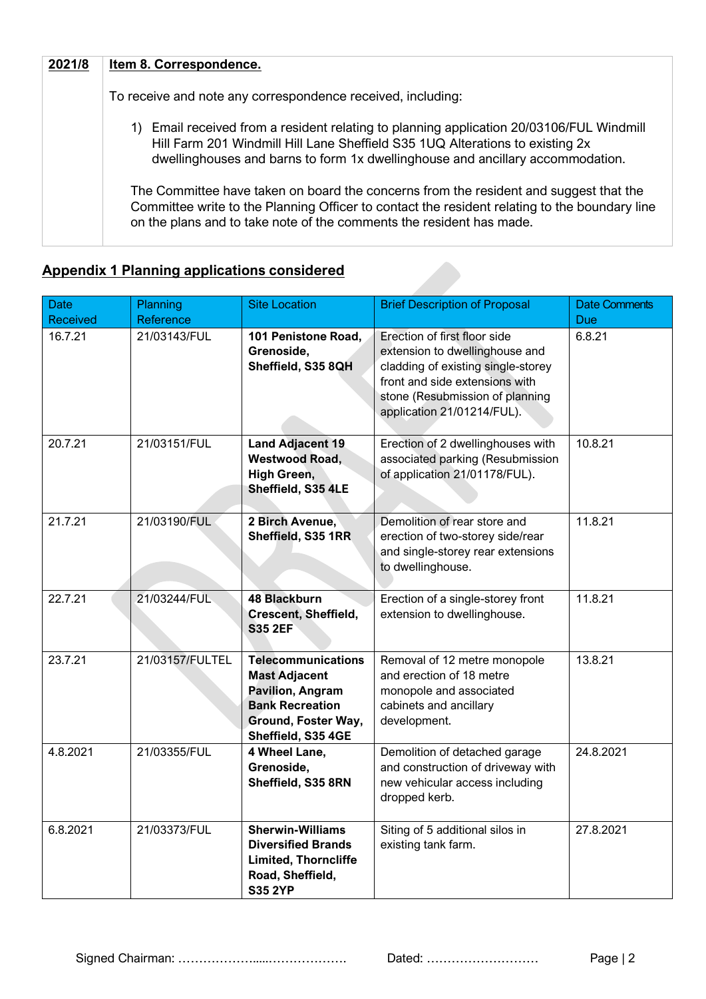| 2021/8 | Item 8. Correspondence.                                                                                                                                                                                                                                        |
|--------|----------------------------------------------------------------------------------------------------------------------------------------------------------------------------------------------------------------------------------------------------------------|
|        | To receive and note any correspondence received, including:                                                                                                                                                                                                    |
|        | 1) Email received from a resident relating to planning application 20/03106/FUL Windmill<br>Hill Farm 201 Windmill Hill Lane Sheffield S35 1UQ Alterations to existing 2x<br>dwellinghouses and barns to form 1x dwellinghouse and ancillary accommodation.    |
|        | The Committee have taken on board the concerns from the resident and suggest that the<br>Committee write to the Planning Officer to contact the resident relating to the boundary line<br>on the plans and to take note of the comments the resident has made. |

## **Appendix 1 Planning applications considered**

| <b>Date</b><br><b>Received</b> | Planning<br>Reference | <b>Site Location</b>                                                                                                                                | <b>Brief Description of Proposal</b>                                                                                                                                                                    | <b>Date Comments</b><br>Due: |
|--------------------------------|-----------------------|-----------------------------------------------------------------------------------------------------------------------------------------------------|---------------------------------------------------------------------------------------------------------------------------------------------------------------------------------------------------------|------------------------------|
| 16.7.21                        | 21/03143/FUL          | 101 Penistone Road,<br>Grenoside,<br>Sheffield, S35 8QH                                                                                             | Erection of first floor side<br>extension to dwellinghouse and<br>cladding of existing single-storey<br>front and side extensions with<br>stone (Resubmission of planning<br>application 21/01214/FUL). | 6.8.21                       |
| 20.7.21                        | 21/03151/FUL          | <b>Land Adjacent 19</b><br><b>Westwood Road,</b><br>High Green,<br>Sheffield, S35 4LE                                                               | Erection of 2 dwellinghouses with<br>associated parking (Resubmission<br>of application 21/01178/FUL).                                                                                                  | 10.8.21                      |
| 21.7.21                        | 21/03190/FUL          | 2 Birch Avenue,<br>Sheffield, S35 1RR                                                                                                               | Demolition of rear store and<br>erection of two-storey side/rear<br>and single-storey rear extensions<br>to dwellinghouse.                                                                              | 11.8.21                      |
| 22.7.21                        | 21/03244/FUL          | <b>48 Blackburn</b><br><b>Crescent, Sheffield,</b><br><b>S35 2EF</b>                                                                                | Erection of a single-storey front<br>extension to dwellinghouse.                                                                                                                                        | 11.8.21                      |
| 23.7.21                        | 21/03157/FULTEL       | <b>Telecommunications</b><br><b>Mast Adjacent</b><br><b>Pavilion, Angram</b><br><b>Bank Recreation</b><br>Ground, Foster Way,<br>Sheffield, S35 4GE | Removal of 12 metre monopole<br>and erection of 18 metre<br>monopole and associated<br>cabinets and ancillary<br>development.                                                                           | 13.8.21                      |
| 4.8.2021                       | 21/03355/FUL          | 4 Wheel Lane,<br>Grenoside,<br>Sheffield, S35 8RN                                                                                                   | Demolition of detached garage<br>and construction of driveway with<br>new vehicular access including<br>dropped kerb.                                                                                   | 24.8.2021                    |
| 6.8.2021                       | 21/03373/FUL          | <b>Sherwin-Williams</b><br><b>Diversified Brands</b><br><b>Limited, Thorncliffe</b><br>Road, Sheffield,<br><b>S35 2YP</b>                           | Siting of 5 additional silos in<br>existing tank farm.                                                                                                                                                  | 27.8.2021                    |